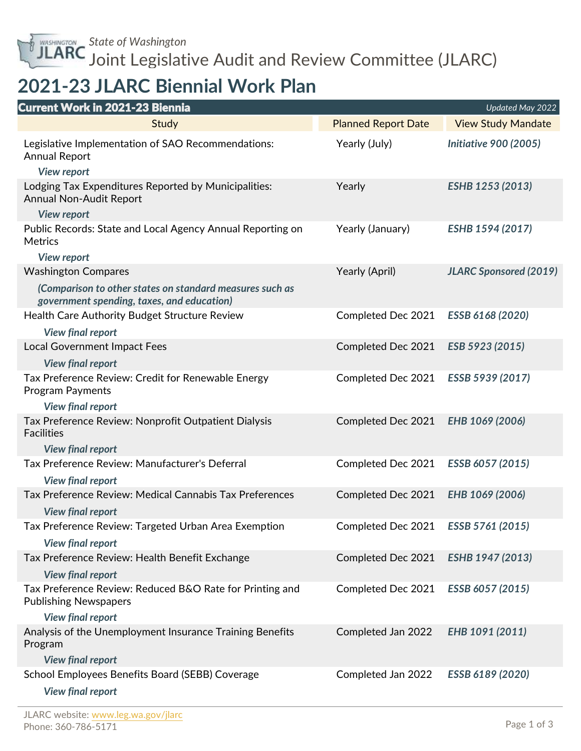*State of Washington* Joint Legislative Audit and Review Committee (JLARC)

## **2021-23 JLARC Biennial Work Plan**

| <b>Current Work in 2021-23 Biennia</b>                                                                    |                            | Updated May 2022              |
|-----------------------------------------------------------------------------------------------------------|----------------------------|-------------------------------|
| Study                                                                                                     | <b>Planned Report Date</b> | <b>View Study Mandate</b>     |
| Legislative Implementation of SAO Recommendations:<br><b>Annual Report</b>                                | Yearly (July)              | <b>Initiative 900 (2005)</b>  |
| <b>View report</b>                                                                                        |                            |                               |
| Lodging Tax Expenditures Reported by Municipalities:<br>Annual Non-Audit Report                           | Yearly                     | ESHB 1253 (2013)              |
| <b>View report</b>                                                                                        |                            |                               |
| Public Records: State and Local Agency Annual Reporting on<br><b>Metrics</b>                              | Yearly (January)           | ESHB 1594 (2017)              |
| <b>View report</b>                                                                                        |                            |                               |
| <b>Washington Compares</b>                                                                                | Yearly (April)             | <b>JLARC Sponsored (2019)</b> |
| (Comparison to other states on standard measures such as<br>government spending, taxes, and education)    |                            |                               |
| Health Care Authority Budget Structure Review                                                             | Completed Dec 2021         | ESSB 6168 (2020)              |
| <b>View final report</b>                                                                                  |                            |                               |
| <b>Local Government Impact Fees</b>                                                                       | Completed Dec 2021         | ESB 5923 (2015)               |
| <b>View final report</b>                                                                                  |                            |                               |
| Tax Preference Review: Credit for Renewable Energy<br><b>Program Payments</b><br><b>View final report</b> | Completed Dec 2021         | ESSB 5939 (2017)              |
| Tax Preference Review: Nonprofit Outpatient Dialysis<br><b>Facilities</b>                                 | Completed Dec 2021         | EHB 1069 (2006)               |
| <b>View final report</b>                                                                                  |                            |                               |
| Tax Preference Review: Manufacturer's Deferral                                                            | Completed Dec 2021         | ESSB 6057 (2015)              |
| <b>View final report</b>                                                                                  |                            |                               |
| Tax Preference Review: Medical Cannabis Tax Preferences<br><b>View final report</b>                       | Completed Dec 2021         | EHB 1069 (2006)               |
| Tax Preference Review: Targeted Urban Area Exemption                                                      | Completed Dec 2021         | ESSB 5761 (2015)              |
| <b>View final report</b>                                                                                  |                            |                               |
| Tax Preference Review: Health Benefit Exchange                                                            | Completed Dec 2021         | ESHB 1947 (2013)              |
| <b>View final report</b>                                                                                  |                            |                               |
| Tax Preference Review: Reduced B&O Rate for Printing and<br><b>Publishing Newspapers</b>                  | Completed Dec 2021         | ESSB 6057 (2015)              |
| <b>View final report</b>                                                                                  |                            |                               |
| Analysis of the Unemployment Insurance Training Benefits<br>Program                                       | Completed Jan 2022         | EHB 1091 (2011)               |
| <b>View final report</b>                                                                                  |                            |                               |
| School Employees Benefits Board (SEBB) Coverage<br><b>View final report</b>                               | Completed Jan 2022         | ESSB 6189 (2020)              |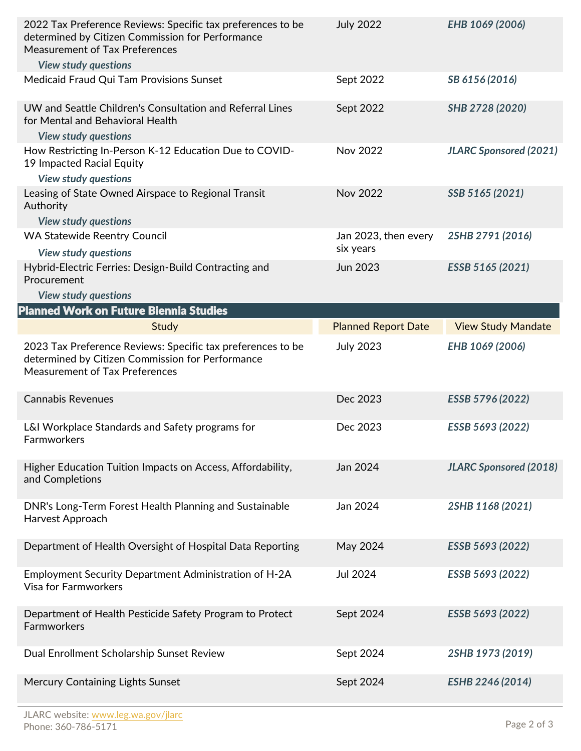| determined by Citizen Commission for Performance<br><b>Measurement of Tax Preferences</b>                                                                | <b>July 2022</b>           | EHB 1069 (2006)               |
|----------------------------------------------------------------------------------------------------------------------------------------------------------|----------------------------|-------------------------------|
| <b>View study questions</b>                                                                                                                              |                            |                               |
| Medicaid Fraud Qui Tam Provisions Sunset                                                                                                                 | Sept 2022                  | SB 6156 (2016)                |
| UW and Seattle Children's Consultation and Referral Lines<br>for Mental and Behavioral Health<br><b>View study questions</b>                             | Sept 2022                  | SHB 2728 (2020)               |
| How Restricting In-Person K-12 Education Due to COVID-                                                                                                   | Nov 2022                   | <b>JLARC Sponsored (2021)</b> |
| 19 Impacted Racial Equity                                                                                                                                |                            |                               |
| <b>View study questions</b>                                                                                                                              |                            |                               |
| Leasing of State Owned Airspace to Regional Transit<br>Authority<br><b>View study questions</b>                                                          | <b>Nov 2022</b>            | SSB 5165 (2021)               |
| <b>WA Statewide Reentry Council</b>                                                                                                                      | Jan 2023, then every       | 2SHB 2791 (2016)              |
| <b>View study questions</b>                                                                                                                              | six years                  |                               |
| Hybrid-Electric Ferries: Design-Build Contracting and                                                                                                    | Jun 2023                   | ESSB 5165 (2021)              |
| Procurement                                                                                                                                              |                            |                               |
| <b>View study questions</b><br>Planned Work on Future Biennia Studies                                                                                    |                            |                               |
|                                                                                                                                                          |                            |                               |
| <b>Study</b>                                                                                                                                             | <b>Planned Report Date</b> | <b>View Study Mandate</b>     |
| 2023 Tax Preference Reviews: Specific tax preferences to be<br>determined by Citizen Commission for Performance<br><b>Measurement of Tax Preferences</b> | <b>July 2023</b>           | EHB 1069 (2006)               |
|                                                                                                                                                          |                            |                               |
| <b>Cannabis Revenues</b>                                                                                                                                 | Dec 2023                   | ESSB 5796 (2022)              |
| L&I Workplace Standards and Safety programs for<br>Farmworkers                                                                                           | Dec 2023                   | ESSB 5693 (2022)              |
| Higher Education Tuition Impacts on Access, Affordability,<br>and Completions                                                                            | Jan 2024                   | <b>JLARC Sponsored (2018)</b> |
| DNR's Long-Term Forest Health Planning and Sustainable<br>Harvest Approach                                                                               | Jan 2024                   | 2SHB 1168 (2021)              |
| Department of Health Oversight of Hospital Data Reporting                                                                                                | May 2024                   | ESSB 5693 (2022)              |
| Employment Security Department Administration of H-2A<br><b>Visa for Farmworkers</b>                                                                     | Jul 2024                   | ESSB 5693 (2022)              |
| Department of Health Pesticide Safety Program to Protect<br>Farmworkers                                                                                  | Sept 2024                  | ESSB 5693 (2022)              |
| Dual Enrollment Scholarship Sunset Review                                                                                                                | Sept 2024                  | 2SHB 1973 (2019)              |